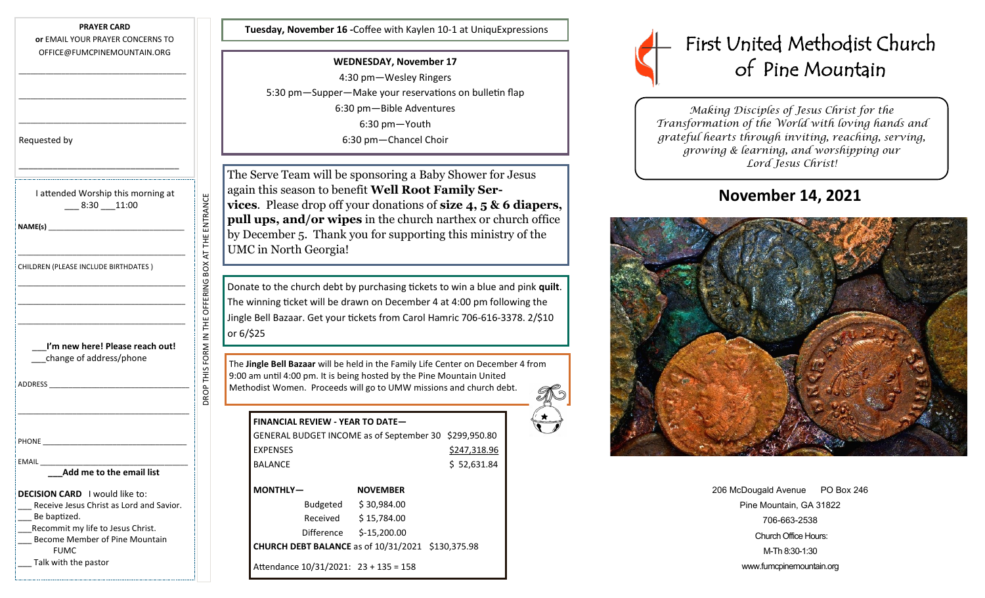**PRAYER CARD**

**or** EMAIL YOUR PRAYER CONCERNS TO OFFICE@FUMCPINEMOUNTAIN.ORG

\_\_\_\_\_\_\_\_\_\_\_\_\_\_\_\_\_\_\_\_\_\_\_\_\_\_\_\_\_\_\_\_\_\_\_\_\_\_\_\_\_\_\_

\_\_\_\_\_\_\_\_\_\_\_\_\_\_\_\_\_\_\_\_\_\_\_\_\_\_\_\_\_\_\_\_\_\_\_\_\_\_\_\_\_\_\_

| Requested by                                          |
|-------------------------------------------------------|
|                                                       |
| I attended Worship this morning at<br>$-8:30 - 11:00$ |
|                                                       |
| CHILDREN (PLEASE INCLUDE BIRTHDATES)                  |
|                                                       |
| I'm new here! Please reach out!                       |
| change of address/phone                               |
|                                                       |
|                                                       |
|                                                       |
|                                                       |
| Add me to the email list                              |

DROP THIS FORM IN THE OFFERING BOX AT THE ENTRANCE

DROP THIS FORM IN THE OFFERING BOX AT THE ENTRANCE

**DECISION CARD** I would like to:

Recommit my life to Jesus Christ. Become Member of Pine Mountain

Be baptized.

FUMC Talk with the pastor

Receive Jesus Christ as Lord and Savior.

**Tuesday, November 16 -**Coffee with Kaylen 10-1 at UniquExpressions

**WEDNESDAY, November 17** 4:30 pm—Wesley Ringers 5:30 pm—Supper—Make your reservations on bulletin flap 6:30 pm—Bible Adventures 6:30 pm—Youth 6:30 pm—Chancel Choir

The Serve Team will be sponsoring a Baby Shower for Jesus again this season to benefit **Well Root Family Services**. Please drop off your donations of **size 4, 5 & 6 diapers, pull ups, and/or wipes** in the church narthex or church office by December 5. Thank you for supporting this ministry of the UMC in North Georgia!

Donate to the church debt by purchasing tickets to win a blue and pink **quilt**. The winning ticket will be drawn on December 4 at 4:00 pm following the Jingle Bell Bazaar. Get your tickets from Carol Hamric 706-616-3378. 2/\$10 or 6/\$25

The **Jingle Bell Bazaar** will be held in the Family Life Center on December 4 from 9:00 am until 4:00 pm. It is being hosted by the Pine Mountain United Methodist Women. Proceeds will go to UMW missions and church debt.

| <b>FINANCIAL REVIEW - YEAR TO DATE-</b>               |                 |  |  |
|-------------------------------------------------------|-----------------|--|--|
| GENERAL BUDGET INCOME as of September 30 \$299,950.80 |                 |  |  |
| <b>EXPENSES</b>                                       | \$247,318.96    |  |  |
| <b>BALANCE</b>                                        | \$52,631.84     |  |  |
| <b>MONTHLY-</b>                                       | <b>NOVEMBER</b> |  |  |
| Budgeted                                              | \$30,984.00     |  |  |
| Received                                              | \$15,784.00     |  |  |
| Difference                                            | $$-15,200.00$   |  |  |
| CHURCH DEBT BALANCE as of 10/31/2021 \$130,375.98     |                 |  |  |
| Attendance 10/31/2021: 23 + 135 = 158                 |                 |  |  |



*Making Disciples of Jesus Christ for the Transformation of the World with loving hands and grateful hearts through inviting, reaching, serving, growing & learning, and worshipping our Lord Jesus Christ!* 

## **November 14, 2021**



| 206 McDougald Avenue PO Box 246 |  |  |  |  |
|---------------------------------|--|--|--|--|
| Pine Mountain, GA 31822         |  |  |  |  |
| 706-663-2538                    |  |  |  |  |
| Church Office Hours:            |  |  |  |  |
| M-Th 8:30-1:30                  |  |  |  |  |
| www.fumcpinemountain.org        |  |  |  |  |